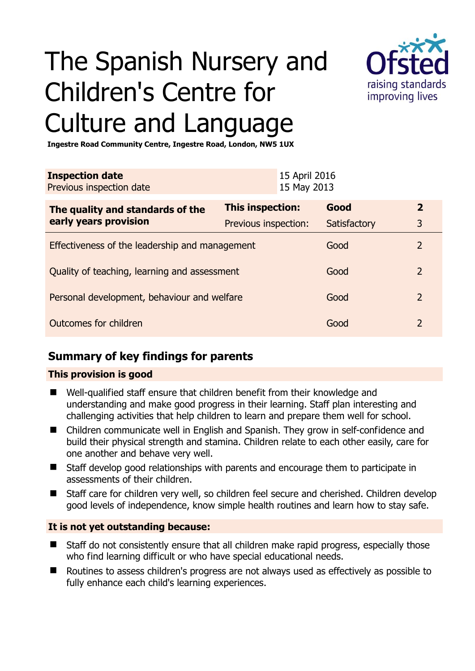# The Spanish Nursery and Children's Centre for Culture and Language



**Ingestre Road Community Centre, Ingestre Road, London, NW5 1UX** 

| <b>Inspection date</b><br>Previous inspection date        |                      | 15 April 2016<br>15 May 2013 |              |                |
|-----------------------------------------------------------|----------------------|------------------------------|--------------|----------------|
| The quality and standards of the<br>early years provision | This inspection:     |                              | Good         | $\overline{2}$ |
|                                                           | Previous inspection: |                              | Satisfactory | 3              |
| Effectiveness of the leadership and management            |                      |                              | Good         | $\mathcal{P}$  |
| Quality of teaching, learning and assessment              |                      |                              | Good         | 2              |
| Personal development, behaviour and welfare               |                      |                              | Good         | 2              |
| Outcomes for children                                     |                      |                              | Good         | 2              |

### **Summary of key findings for parents**

#### **This provision is good**

- Well-qualified staff ensure that children benefit from their knowledge and understanding and make good progress in their learning. Staff plan interesting and challenging activities that help children to learn and prepare them well for school.
- Children communicate well in English and Spanish. They grow in self-confidence and build their physical strength and stamina. Children relate to each other easily, care for one another and behave very well.
- Staff develop good relationships with parents and encourage them to participate in assessments of their children.
- Staff care for children very well, so children feel secure and cherished. Children develop good levels of independence, know simple health routines and learn how to stay safe.

#### **It is not yet outstanding because:**

- Staff do not consistently ensure that all children make rapid progress, especially those who find learning difficult or who have special educational needs.
- Routines to assess children's progress are not always used as effectively as possible to fully enhance each child's learning experiences.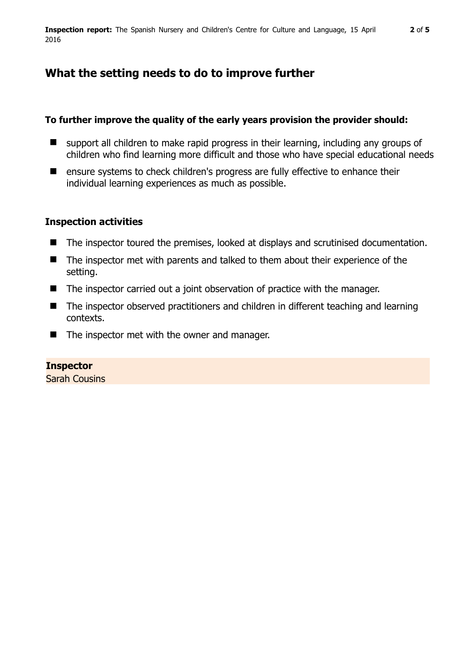## **What the setting needs to do to improve further**

#### **To further improve the quality of the early years provision the provider should:**

- **E** support all children to make rapid progress in their learning, including any groups of children who find learning more difficult and those who have special educational needs
- **E** ensure systems to check children's progress are fully effective to enhance their individual learning experiences as much as possible.

#### **Inspection activities**

- The inspector toured the premises, looked at displays and scrutinised documentation.
- The inspector met with parents and talked to them about their experience of the setting.
- The inspector carried out a joint observation of practice with the manager.
- The inspector observed practitioners and children in different teaching and learning contexts.
- $\blacksquare$  The inspector met with the owner and manager.

#### **Inspector**

Sarah Cousins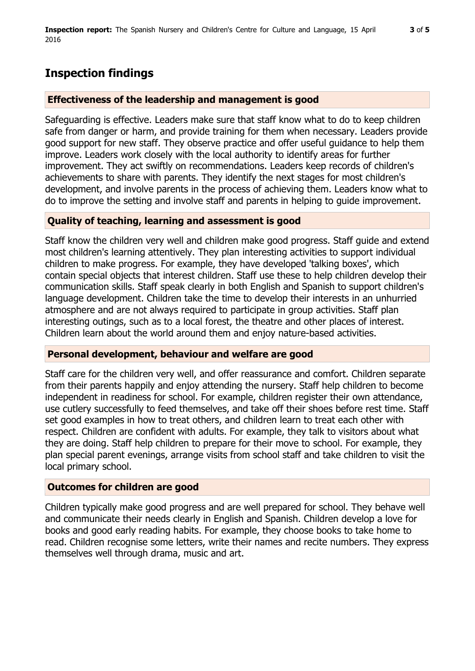## **Inspection findings**

#### **Effectiveness of the leadership and management is good**

Safeguarding is effective. Leaders make sure that staff know what to do to keep children safe from danger or harm, and provide training for them when necessary. Leaders provide good support for new staff. They observe practice and offer useful guidance to help them improve. Leaders work closely with the local authority to identify areas for further improvement. They act swiftly on recommendations. Leaders keep records of children's achievements to share with parents. They identify the next stages for most children's development, and involve parents in the process of achieving them. Leaders know what to do to improve the setting and involve staff and parents in helping to guide improvement.

#### **Quality of teaching, learning and assessment is good**

Staff know the children very well and children make good progress. Staff guide and extend most children's learning attentively. They plan interesting activities to support individual children to make progress. For example, they have developed 'talking boxes', which contain special objects that interest children. Staff use these to help children develop their communication skills. Staff speak clearly in both English and Spanish to support children's language development. Children take the time to develop their interests in an unhurried atmosphere and are not always required to participate in group activities. Staff plan interesting outings, such as to a local forest, the theatre and other places of interest. Children learn about the world around them and enjoy nature-based activities.

#### **Personal development, behaviour and welfare are good**

Staff care for the children very well, and offer reassurance and comfort. Children separate from their parents happily and enjoy attending the nursery. Staff help children to become independent in readiness for school. For example, children register their own attendance, use cutlery successfully to feed themselves, and take off their shoes before rest time. Staff set good examples in how to treat others, and children learn to treat each other with respect. Children are confident with adults. For example, they talk to visitors about what they are doing. Staff help children to prepare for their move to school. For example, they plan special parent evenings, arrange visits from school staff and take children to visit the local primary school.

#### **Outcomes for children are good**

Children typically make good progress and are well prepared for school. They behave well and communicate their needs clearly in English and Spanish. Children develop a love for books and good early reading habits. For example, they choose books to take home to read. Children recognise some letters, write their names and recite numbers. They express themselves well through drama, music and art.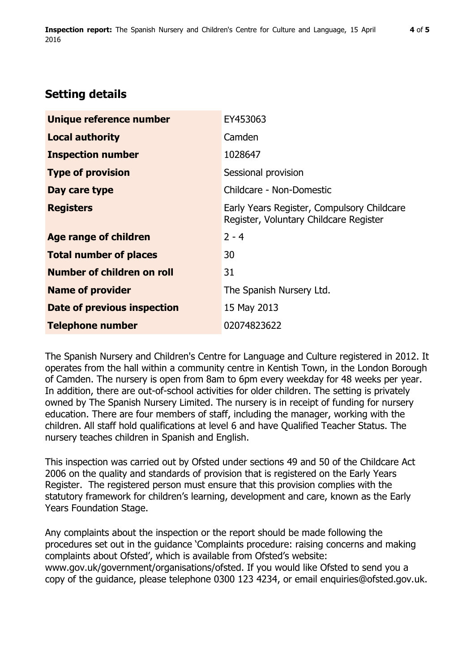## **Setting details**

| Unique reference number           | EY453063                                                                             |  |
|-----------------------------------|--------------------------------------------------------------------------------------|--|
| <b>Local authority</b>            | Camden                                                                               |  |
| <b>Inspection number</b>          | 1028647                                                                              |  |
| <b>Type of provision</b>          | Sessional provision                                                                  |  |
| Day care type                     | Childcare - Non-Domestic                                                             |  |
| <b>Registers</b>                  | Early Years Register, Compulsory Childcare<br>Register, Voluntary Childcare Register |  |
| <b>Age range of children</b>      | $2 - 4$                                                                              |  |
| <b>Total number of places</b>     | 30                                                                                   |  |
| <b>Number of children on roll</b> | 31                                                                                   |  |
| <b>Name of provider</b>           | The Spanish Nursery Ltd.                                                             |  |
| Date of previous inspection       | 15 May 2013                                                                          |  |
| <b>Telephone number</b>           | 02074823622                                                                          |  |

The Spanish Nursery and Children's Centre for Language and Culture registered in 2012. It operates from the hall within a community centre in Kentish Town, in the London Borough of Camden. The nursery is open from 8am to 6pm every weekday for 48 weeks per year. In addition, there are out-of-school activities for older children. The setting is privately owned by The Spanish Nursery Limited. The nursery is in receipt of funding for nursery education. There are four members of staff, including the manager, working with the children. All staff hold qualifications at level 6 and have Qualified Teacher Status. The nursery teaches children in Spanish and English.

This inspection was carried out by Ofsted under sections 49 and 50 of the Childcare Act 2006 on the quality and standards of provision that is registered on the Early Years Register. The registered person must ensure that this provision complies with the statutory framework for children's learning, development and care, known as the Early Years Foundation Stage.

Any complaints about the inspection or the report should be made following the procedures set out in the guidance 'Complaints procedure: raising concerns and making complaints about Ofsted', which is available from Ofsted's website: www.gov.uk/government/organisations/ofsted. If you would like Ofsted to send you a copy of the guidance, please telephone 0300 123 4234, or email enquiries@ofsted.gov.uk.